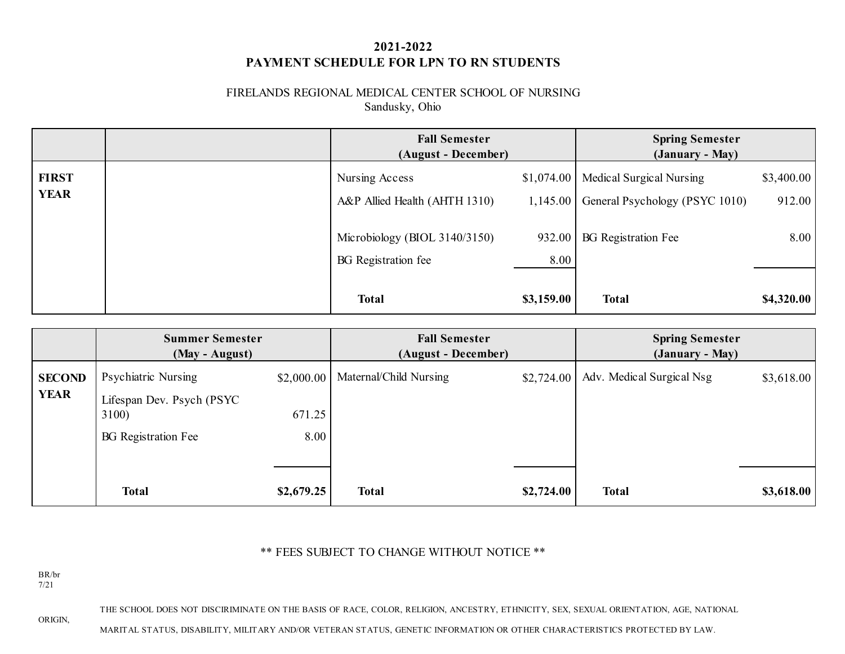# **2021-2022 PAYMENT SCHEDULE FOR LPN TO RN STUDENTS**

### FIRELANDS REGIONAL MEDICAL CENTER SCHOOL OF NURSING Sandusky, Ohio

|                             | <b>Fall Semester</b><br>(August - December)                 |                | <b>Spring Semester</b><br>(January - May)                               |                      |
|-----------------------------|-------------------------------------------------------------|----------------|-------------------------------------------------------------------------|----------------------|
| <b>FIRST</b><br><b>YEAR</b> | Nursing Access<br>A&P Allied Health (AHTH 1310)             | 1,145.00       | \$1,074.00   Medical Surgical Nursing<br>General Psychology (PSYC 1010) | \$3,400.00<br>912.00 |
|                             | Microbiology (BIOL 3140/3150)<br><b>BG</b> Registration fee | 932.00<br>8.00 | <b>BG</b> Registration Fee                                              | 8.00                 |
|                             | <b>Total</b>                                                | \$3,159.00     | <b>Total</b>                                                            | \$4,320.00           |

|                              | <b>Summer Semester</b><br>(May - August)                                                |                              | <b>Fall Semester</b><br>(August - December) |            | <b>Spring Semester</b><br>(January - May) |            |
|------------------------------|-----------------------------------------------------------------------------------------|------------------------------|---------------------------------------------|------------|-------------------------------------------|------------|
| <b>SECOND</b><br><b>YEAR</b> | Psychiatric Nursing<br>Lifespan Dev. Psych (PSYC<br>3100)<br><b>BG</b> Registration Fee | \$2,000.00<br>671.25<br>8.00 | Maternal/Child Nursing                      | \$2,724.00 | Adv. Medical Surgical Nsg                 | \$3,618.00 |
|                              | <b>Total</b>                                                                            | \$2,679.25                   | <b>Total</b>                                | \$2,724.00 | <b>Total</b>                              | \$3,618.00 |

## \*\* FEES SUBJECT TO CHANGE WITHOUT NOTICE \*\*

BR/br 7/21

ORIGIN,

THE SCHOOL DOES NOT DISCIRIMINATE ON THE BASIS OF RACE, COLOR, RELIGION, ANCESTRY, ETHNICITY, SEX, SEXUAL ORIENTATION, AGE, NATIONAL

MARITAL STATUS, DISABILITY, MILITARY AND/OR VETERAN STATUS, GENETIC INFORMATION OR OTHER CHARACTERISTICS PROTECTED BY LAW.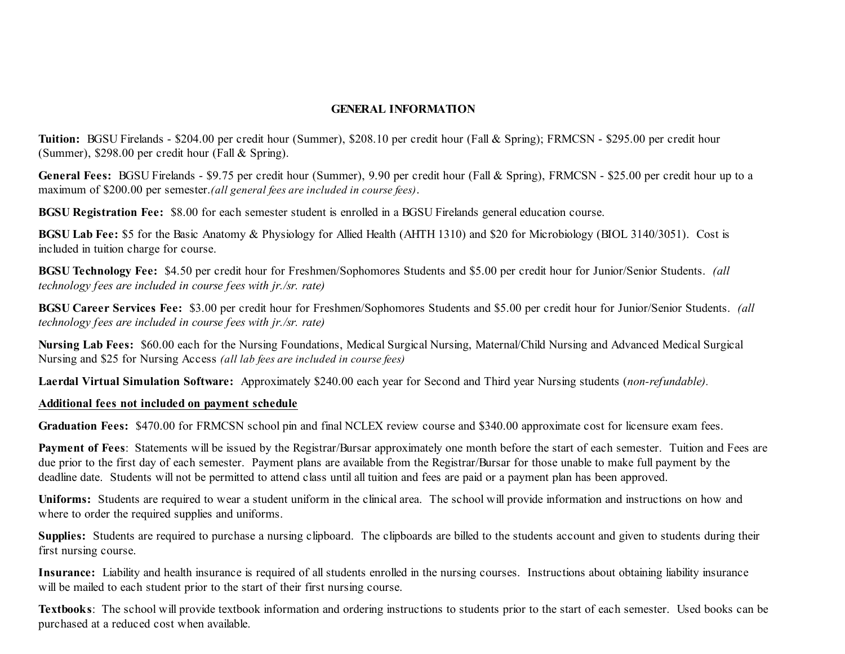### **GENERAL INFORMATION**

**Tuition:** BGSU Firelands - \$204.00 per credit hour (Summer), \$208.10 per credit hour (Fall & Spring); FRMCSN - \$295.00 per credit hour (Summer), \$298.00 per credit hour (Fall & Spring).

**General Fees:** BGSU Firelands - \$9.75 per credit hour (Summer), 9.90 per credit hour (Fall & Spring), FRMCSN - \$25.00 per credit hour up to a maximum of \$200.00 per semester.*(all general fees are included in course fees)*.

**BGSU Registration Fee:** \$8.00 for each semester student is enrolled in a BGSU Firelands general education course.

**BGSU Lab Fee:** \$5 for the Basic Anatomy & Physiology for Allied Health (AHTH 1310) and \$20 for Microbiology (BIOL 3140/3051). Cost is included in tuition charge for course.

**BGSU Technology Fee:** \$4.50 per credit hour for Freshmen/Sophomores Students and \$5.00 per credit hour for Junior/Senior Students. *(all technology fees are included in course fees with jr./sr. rate)*

**BGSU Career Services Fee:** \$3.00 per credit hour for Freshmen/Sophomores Students and \$5.00 per credit hour for Junior/Senior Students. *(all technology fees are included in course fees with jr./sr. rate)*

**Nursing Lab Fees:** \$60.00 each for the Nursing Foundations, Medical Surgical Nursing, Maternal/Child Nursing and Advanced Medical Surgical Nursing and \$25 for Nursing Access *(all lab fees are included in course fees)*

**Laerdal Virtual Simulation Software:** Approximately \$240.00 each year for Second and Third year Nursing students (*non-refundable).*

#### **Additional fees not included on payment schedule**

**Graduation Fees:** \$470.00 for FRMCSN school pin and final NCLEX review course and \$340.00 approximate cost for licensure exam fees.

**Payment of Fees**: Statements will be issued by the Registrar/Bursar approximately one month before the start of each semester. Tuition and Fees are due prior to the first day of each semester. Payment plans are available from the Registrar/Bursar for those unable to make full payment by the deadline date. Students will not be permitted to attend class until all tuition and fees are paid or a payment plan has been approved.

**Uniforms:** Students are required to wear a student uniform in the clinical area. The school will provide information and instructions on how and where to order the required supplies and uniforms.

**Supplies:** Students are required to purchase a nursing clipboard. The clipboards are billed to the students account and given to students during their first nursing course.

**Insurance:** Liability and health insurance is required of all students enrolled in the nursing courses. Instructions about obtaining liability insurance will be mailed to each student prior to the start of their first nursing course.

**Textbooks**: The school will provide textbook information and ordering instructions to students prior to the start of each semester. Used books can be purchased at a reduced cost when available.